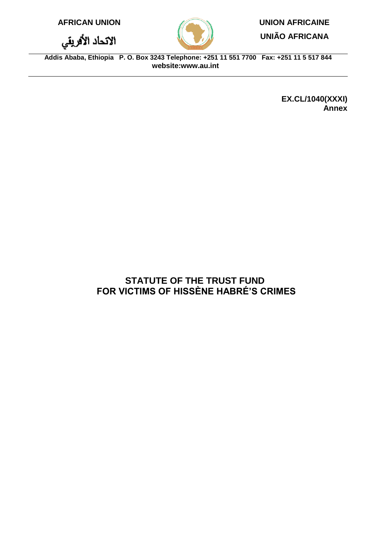|  |  |  |  | <b>AFRICAN UNION</b> |  |
|--|--|--|--|----------------------|--|
|--|--|--|--|----------------------|--|

الاتحاد الأقريقي



# **UNION AFRICAINE**

**UNIÃO AFRICANA**

**Addis Ababa, Ethiopia P. O. Box 3243 Telephone: +251 11 551 7700 Fax: +251 11 5 517 844 website[:www.au.int](http://www.au.int/)**

> **EX.CL/1040(XXXI) Annex**

## **STATUTE OF THE TRUST FUND FOR VICTIMS OF HISSÈNE HABRÉ'S CRIMES**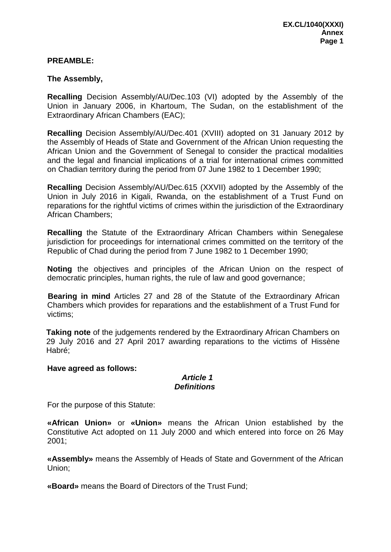#### **PREAMBLE:**

#### **The Assembly,**

**Recalling** Decision Assembly/AU/Dec.103 (VI) adopted by the Assembly of the Union in January 2006, in Khartoum, The Sudan, on the establishment of the Extraordinary African Chambers (EAC);

**Recalling** Decision Assembly/AU/Dec.401 (XVIII) adopted on 31 January 2012 by the Assembly of Heads of State and Government of the African Union requesting the African Union and the Government of Senegal to consider the practical modalities and the legal and financial implications of a trial for international crimes committed on Chadian territory during the period from 07 June 1982 to 1 December 1990;

**Recalling** Decision Assembly/AU/Dec.615 (XXVII) adopted by the Assembly of the Union in July 2016 in Kigali, Rwanda, on the establishment of a Trust Fund on reparations for the rightful victims of crimes within the jurisdiction of the Extraordinary African Chambers;

**Recalling** the Statute of the Extraordinary African Chambers within Senegalese jurisdiction for proceedings for international crimes committed on the territory of the Republic of Chad during the period from 7 June 1982 to 1 December 1990;

**Noting** the objectives and principles of the African Union on the respect of democratic principles, human rights, the rule of law and good governance;

 **Bearing in mind** Articles 27 and 28 of the Statute of the Extraordinary African Chambers which provides for reparations and the establishment of a Trust Fund for victims;

**Taking note** of the judgements rendered by the Extraordinary African Chambers on 29 July 2016 and 27 April 2017 awarding reparations to the victims of Hissène Habré;

#### **Have agreed as follows:**

#### *Article 1 Definitions*

For the purpose of this Statute:

**«African Union»** or **«Union»** means the African Union established by the Constitutive Act adopted on 11 July 2000 and which entered into force on 26 May 2001;

**«Assembly»** means the Assembly of Heads of State and Government of the African Union;

**«Board»** means the Board of Directors of the Trust Fund;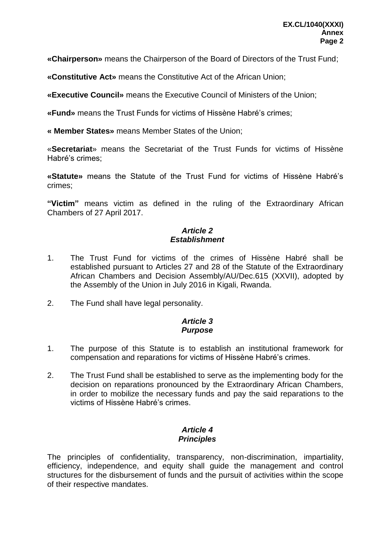**«Chairperson»** means the Chairperson of the Board of Directors of the Trust Fund;

**«Constitutive Act»** means the Constitutive Act of the African Union;

**«Executive Council»** means the Executive Council of Ministers of the Union;

**«Fund»** means the Trust Funds for victims of Hissène Habré's crimes;

**« Member States»** means Member States of the Union;

«**Secretariat**» means the Secretariat of the Trust Funds for victims of Hissène Habré's crimes;

**«Statute»** means the Statute of the Trust Fund for victims of Hissène Habré's crimes;

**"Victim"** means victim as defined in the ruling of the Extraordinary African Chambers of 27 April 2017.

## *Article 2 Establishment*

- 1. The Trust Fund for victims of the crimes of Hissène Habré shall be established pursuant to Articles 27 and 28 of the Statute of the Extraordinary African Chambers and Decision Assembly/AU/Dec.615 (XXVII), adopted by the Assembly of the Union in July 2016 in Kigali, Rwanda.
- 2. The Fund shall have legal personality.

## *Article 3 Purpose*

- 1. The purpose of this Statute is to establish an institutional framework for compensation and reparations for victims of Hissène Habré's crimes.
- 2. The Trust Fund shall be established to serve as the implementing body for the decision on reparations pronounced by the Extraordinary African Chambers, in order to mobilize the necessary funds and pay the said reparations to the victims of Hissène Habré's crimes.

## *Article 4 Principles*

The principles of confidentiality, transparency, non-discrimination, impartiality, efficiency, independence, and equity shall guide the management and control structures for the disbursement of funds and the pursuit of activities within the scope of their respective mandates.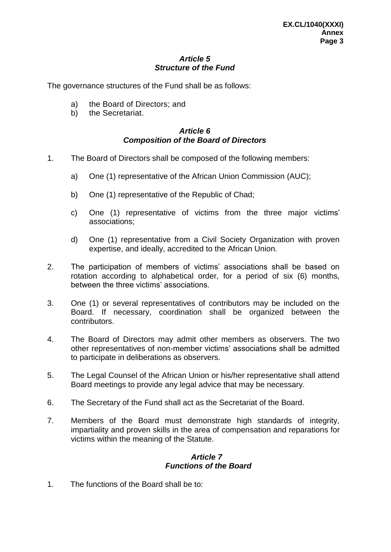## *Article 5 Structure of the Fund*

The governance structures of the Fund shall be as follows:

- a) the Board of Directors; and
- b) the Secretariat.

## *Article 6 Composition of the Board of Directors*

- 1. The Board of Directors shall be composed of the following members:
	- a) One (1) representative of the African Union Commission (AUC);
	- b) One (1) representative of the Republic of Chad;
	- c) One (1) representative of victims from the three major victims' associations;
	- d) One (1) representative from a Civil Society Organization with proven expertise, and ideally, accredited to the African Union.
- 2. The participation of members of victims' associations shall be based on rotation according to alphabetical order, for a period of six (6) months, between the three victims' associations.
- 3. One (1) or several representatives of contributors may be included on the Board. If necessary, coordination shall be organized between the contributors.
- 4. The Board of Directors may admit other members as observers. The two other representatives of non-member victims' associations shall be admitted to participate in deliberations as observers.
- 5. The Legal Counsel of the African Union or his/her representative shall attend Board meetings to provide any legal advice that may be necessary.
- 6. The Secretary of the Fund shall act as the Secretariat of the Board.
- 7. Members of the Board must demonstrate high standards of integrity, impartiality and proven skills in the area of compensation and reparations for victims within the meaning of the Statute.

## *Article 7 Functions of the Board*

1. The functions of the Board shall be to: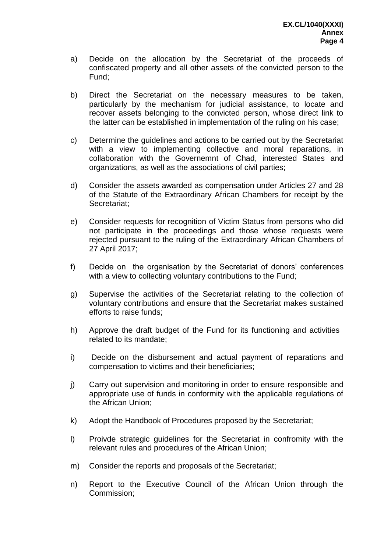- a) Decide on the allocation by the Secretariat of the proceeds of confiscated property and all other assets of the convicted person to the Fund;
- b) Direct the Secretariat on the necessary measures to be taken, particularly by the mechanism for judicial assistance, to locate and recover assets belonging to the convicted person, whose direct link to the latter can be established in implementation of the ruling on his case;
- c) Determine the guidelines and actions to be carried out by the Secretariat with a view to implementing collective and moral reparations, in collaboration with the Governemnt of Chad, interested States and organizations, as well as the associations of civil parties;
- d) Consider the assets awarded as compensation under Articles 27 and 28 of the Statute of the Extraordinary African Chambers for receipt by the Secretariat;
- e) Consider requests for recognition of Victim Status from persons who did not participate in the proceedings and those whose requests were rejected pursuant to the ruling of the Extraordinary African Chambers of 27 April 2017;
- f) Decide on the organisation by the Secretariat of donors' conferences with a view to collecting voluntary contributions to the Fund;
- g) Supervise the activities of the Secretariat relating to the collection of voluntary contributions and ensure that the Secretariat makes sustained efforts to raise funds;
- h) Approve the draft budget of the Fund for its functioning and activities related to its mandate;
- i) Decide on the disbursement and actual payment of reparations and compensation to victims and their beneficiaries;
- j) Carry out supervision and monitoring in order to ensure responsible and appropriate use of funds in conformity with the applicable regulations of the African Union;
- k) Adopt the Handbook of Procedures proposed by the Secretariat;
- l) Proivde strategic guidelines for the Secretariat in confromity with the relevant rules and procedures of the African Union;
- m) Consider the reports and proposals of the Secretariat;
- n) Report to the Executive Council of the African Union through the Commission;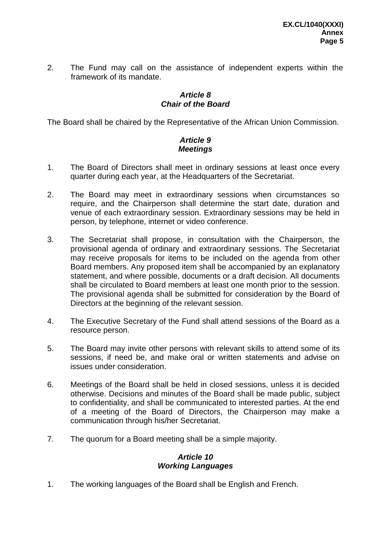2. The Fund may call on the assistance of independent experts within the framework of its mandate.

## *Article 8 Chair of the Board*

The Board shall be chaired by the Representative of the African Union Commission.

## *Article 9 Meetings*

- 1. The Board of Directors shall meet in ordinary sessions at least once every quarter during each year, at the Headquarters of the Secretariat.
- 2. The Board may meet in extraordinary sessions when circumstances so require, and the Chairperson shall determine the start date, duration and venue of each extraordinary session. Extraordinary sessions may be held in person, by telephone, internet or video conference.
- 3. The Secretariat shall propose, in consultation with the Chairperson, the provisional agenda of ordinary and extraordinary sessions. The Secretariat may receive proposals for items to be included on the agenda from other Board members. Any proposed item shall be accompanied by an explanatory statement, and where possible, documents or a draft decision. All documents shall be circulated to Board members at least one month prior to the session. The provisional agenda shall be submitted for consideration by the Board of Directors at the beginning of the relevant session.
- 4. The Executive Secretary of the Fund shall attend sessions of the Board as a resource person.
- 5. The Board may invite other persons with relevant skills to attend some of its sessions, if need be, and make oral or written statements and advise on issues under consideration.
- 6. Meetings of the Board shall be held in closed sessions, unless it is decided otherwise. Decisions and minutes of the Board shall be made public, subject to confidentiality, and shall be communicated to interested parties. At the end of a meeting of the Board of Directors, the Chairperson may make a communication through his/her Secretariat.
- 7. The quorum for a Board meeting shall be a simple majority.

## *Article 10 Working Languages*

1. The working languages of the Board shall be English and French.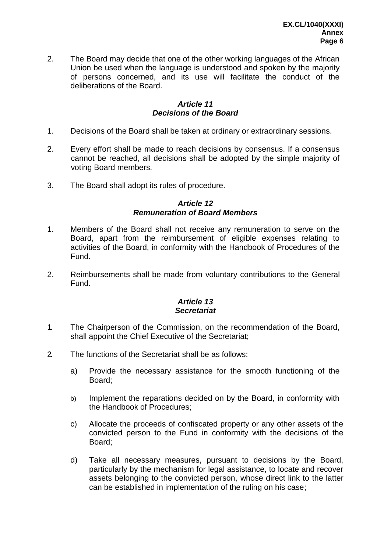2. The Board may decide that one of the other working languages of the African Union be used when the language is understood and spoken by the majority of persons concerned, and its use will facilitate the conduct of the deliberations of the Board.

## *Article 11 Decisions of the Board*

- 1. Decisions of the Board shall be taken at ordinary or extraordinary sessions.
- 2. Every effort shall be made to reach decisions by consensus. If a consensus cannot be reached, all decisions shall be adopted by the simple majority of voting Board members.
- 3. The Board shall adopt its rules of procedure.

#### *Article 12 Remuneration of Board Members*

- 1. Members of the Board shall not receive any remuneration to serve on the Board, apart from the reimbursement of eligible expenses relating to activities of the Board, in conformity with the Handbook of Procedures of the Fund.
- 2. Reimbursements shall be made from voluntary contributions to the General Fund.

## *Article 13 Secretariat*

- 1. The Chairperson of the Commission, on the recommendation of the Board, shall appoint the Chief Executive of the Secretariat;
- 2. The functions of the Secretariat shall be as follows:
	- a) Provide the necessary assistance for the smooth functioning of the Board;
	- b) Implement the reparations decided on by the Board, in conformity with the Handbook of Procedures;
	- c) Allocate the proceeds of confiscated property or any other assets of the convicted person to the Fund in conformity with the decisions of the Board;
	- d) Take all necessary measures, pursuant to decisions by the Board, particularly by the mechanism for legal assistance, to locate and recover assets belonging to the convicted person, whose direct link to the latter can be established in implementation of the ruling on his case;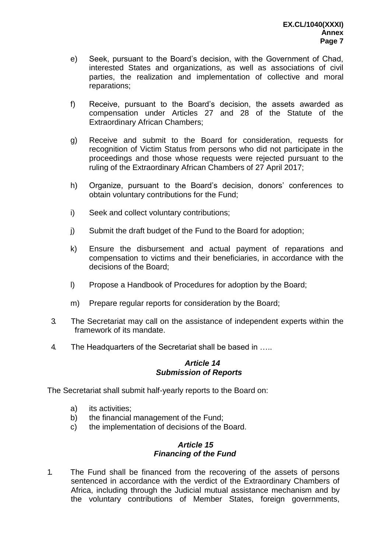- e) Seek, pursuant to the Board's decision, with the Government of Chad, interested States and organizations, as well as associations of civil parties, the realization and implementation of collective and moral reparations;
- f) Receive, pursuant to the Board's decision, the assets awarded as compensation under Articles 27 and 28 of the Statute of the Extraordinary African Chambers;
- g) Receive and submit to the Board for consideration, requests for recognition of Victim Status from persons who did not participate in the proceedings and those whose requests were rejected pursuant to the ruling of the Extraordinary African Chambers of 27 April 2017;
- h) Organize, pursuant to the Board's decision, donors' conferences to obtain voluntary contributions for the Fund;
- i) Seek and collect voluntary contributions;
- j) Submit the draft budget of the Fund to the Board for adoption;
- k) Ensure the disbursement and actual payment of reparations and compensation to victims and their beneficiaries, in accordance with the decisions of the Board;
- l) Propose a Handbook of Procedures for adoption by the Board;
- m) Prepare regular reports for consideration by the Board;
- 3. The Secretariat may call on the assistance of independent experts within the framework of its mandate.
- 4. The Headquarters of the Secretariat shall be based in …..

## *Article 14 Submission of Reports*

The Secretariat shall submit half-yearly reports to the Board on:

- a) its activities;
- b) the financial management of the Fund;
- c) the implementation of decisions of the Board.

## *Article 15 Financing of the Fund*

1. The Fund shall be financed from the recovering of the assets of persons sentenced in accordance with the verdict of the Extraordinary Chambers of Africa, including through the Judicial mutual assistance mechanism and by the voluntary contributions of Member States, foreign governments,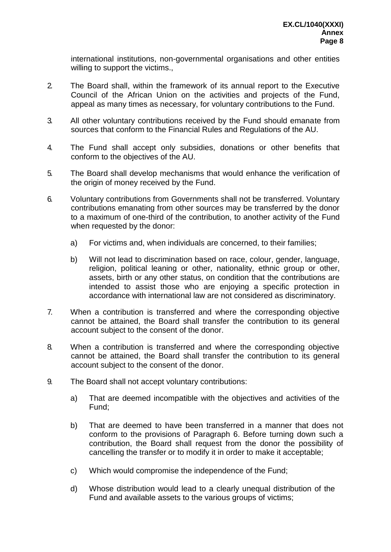international institutions, non-governmental organisations and other entities willing to support the victims.,

- 2. The Board shall, within the framework of its annual report to the Executive Council of the African Union on the activities and projects of the Fund, appeal as many times as necessary, for voluntary contributions to the Fund.
- 3. All other voluntary contributions received by the Fund should emanate from sources that conform to the Financial Rules and Regulations of the AU.
- 4. The Fund shall accept only subsidies, donations or other benefits that conform to the objectives of the AU.
- 5. The Board shall develop mechanisms that would enhance the verification of the origin of money received by the Fund.
- 6. Voluntary contributions from Governments shall not be transferred. Voluntary contributions emanating from other sources may be transferred by the donor to a maximum of one-third of the contribution, to another activity of the Fund when requested by the donor:
	- a) For victims and, when individuals are concerned, to their families;
	- b) Will not lead to discrimination based on race, colour, gender, language, religion, political leaning or other, nationality, ethnic group or other, assets, birth or any other status, on condition that the contributions are intended to assist those who are enjoying a specific protection in accordance with international law are not considered as discriminatory.
- 7. When a contribution is transferred and where the corresponding objective cannot be attained, the Board shall transfer the contribution to its general account subject to the consent of the donor.
- 8. When a contribution is transferred and where the corresponding objective cannot be attained, the Board shall transfer the contribution to its general account subject to the consent of the donor.
- 9. The Board shall not accept voluntary contributions:
	- a) That are deemed incompatible with the objectives and activities of the Fund;
	- b) That are deemed to have been transferred in a manner that does not conform to the provisions of Paragraph 6. Before turning down such a contribution, the Board shall request from the donor the possibility of cancelling the transfer or to modify it in order to make it acceptable;
	- c) Which would compromise the independence of the Fund;
	- d) Whose distribution would lead to a clearly unequal distribution of the Fund and available assets to the various groups of victims;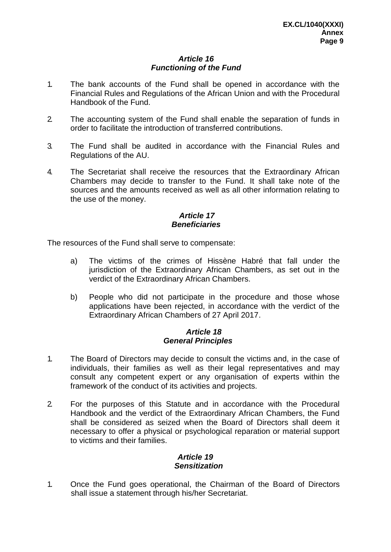## *Article 16 Functioning of the Fund*

- 1. The bank accounts of the Fund shall be opened in accordance with the Financial Rules and Regulations of the African Union and with the Procedural Handbook of the Fund.
- 2. The accounting system of the Fund shall enable the separation of funds in order to facilitate the introduction of transferred contributions.
- 3. The Fund shall be audited in accordance with the Financial Rules and Regulations of the AU.
- 4. The Secretariat shall receive the resources that the Extraordinary African Chambers may decide to transfer to the Fund. It shall take note of the sources and the amounts received as well as all other information relating to the use of the money.

## *Article 17 Beneficiaries*

The resources of the Fund shall serve to compensate:

- a) The victims of the crimes of Hissène Habré that fall under the jurisdiction of the Extraordinary African Chambers, as set out in the verdict of the Extraordinary African Chambers.
- b) People who did not participate in the procedure and those whose applications have been rejected, in accordance with the verdict of the Extraordinary African Chambers of 27 April 2017.

## *Article 18 General Principles*

- 1. The Board of Directors may decide to consult the victims and, in the case of individuals, their families as well as their legal representatives and may consult any competent expert or any organisation of experts within the framework of the conduct of its activities and projects.
- 2. For the purposes of this Statute and in accordance with the Procedural Handbook and the verdict of the Extraordinary African Chambers, the Fund shall be considered as seized when the Board of Directors shall deem it necessary to offer a physical or psychological reparation or material support to victims and their families.

#### *Article 19 Sensitization*

1. Once the Fund goes operational, the Chairman of the Board of Directors shall issue a statement through his/her Secretariat.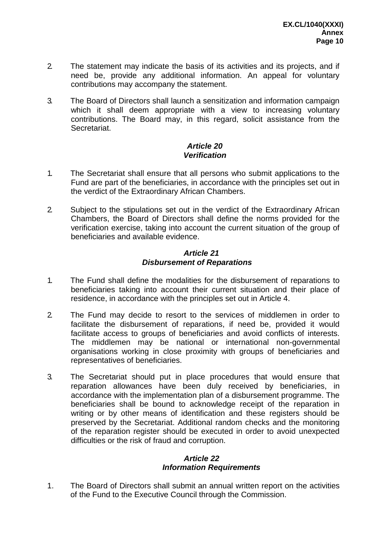- 2. The statement may indicate the basis of its activities and its projects, and if need be, provide any additional information. An appeal for voluntary contributions may accompany the statement.
- 3. The Board of Directors shall launch a sensitization and information campaign which it shall deem appropriate with a view to increasing voluntary contributions. The Board may, in this regard, solicit assistance from the Secretariat.

### *Article 20 Verification*

- 1. The Secretariat shall ensure that all persons who submit applications to the Fund are part of the beneficiaries, in accordance with the principles set out in the verdict of the Extraordinary African Chambers.
- 2. Subject to the stipulations set out in the verdict of the Extraordinary African Chambers, the Board of Directors shall define the norms provided for the verification exercise, taking into account the current situation of the group of beneficiaries and available evidence.

## *Article 21 Disbursement of Reparations*

- 1. The Fund shall define the modalities for the disbursement of reparations to beneficiaries taking into account their current situation and their place of residence, in accordance with the principles set out in Article 4.
- 2. The Fund may decide to resort to the services of middlemen in order to facilitate the disbursement of reparations, if need be, provided it would facilitate access to groups of beneficiaries and avoid conflicts of interests. The middlemen may be national or international non-governmental organisations working in close proximity with groups of beneficiaries and representatives of beneficiaries.
- 3. The Secretariat should put in place procedures that would ensure that reparation allowances have been duly received by beneficiaries, in accordance with the implementation plan of a disbursement programme. The beneficiaries shall be bound to acknowledge receipt of the reparation in writing or by other means of identification and these registers should be preserved by the Secretariat. Additional random checks and the monitoring of the reparation register should be executed in order to avoid unexpected difficulties or the risk of fraud and corruption.

## *Article 22 Information Requirements*

1. The Board of Directors shall submit an annual written report on the activities of the Fund to the Executive Council through the Commission.